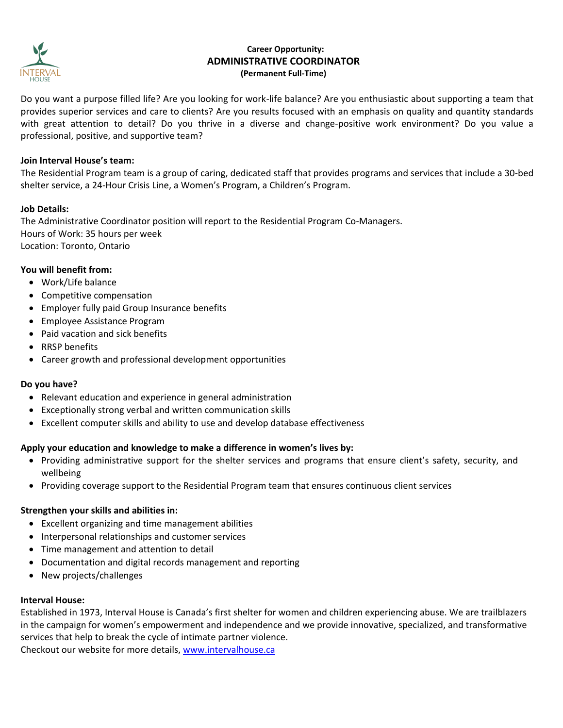

# **Career Opportunity: ADMINISTRATIVE COORDINATOR (Permanent Full-Time)**

Do you want a purpose filled life? Are you looking for work-life balance? Are you enthusiastic about supporting a team that provides superior services and care to clients? Are you results focused with an emphasis on quality and quantity standards with great attention to detail? Do you thrive in a diverse and change-positive work environment? Do you value a professional, positive, and supportive team?

## **Join Interval House's team:**

The Residential Program team is a group of caring, dedicated staff that provides programs and services that include a 30-bed shelter service, a 24-Hour Crisis Line, a Women's Program, a Children's Program.

### **Job Details:**

The Administrative Coordinator position will report to the Residential Program Co-Managers. Hours of Work: 35 hours per week Location: Toronto, Ontario

#### **You will benefit from:**

- Work/Life balance
- Competitive compensation
- Employer fully paid Group Insurance benefits
- Employee Assistance Program
- Paid vacation and sick benefits
- RRSP benefits
- Career growth and professional development opportunities

#### **Do you have?**

- Relevant education and experience in general administration
- Exceptionally strong verbal and written communication skills
- Excellent computer skills and ability to use and develop database effectiveness

#### **Apply your education and knowledge to make a difference in women's lives by:**

- Providing administrative support for the shelter services and programs that ensure client's safety, security, and wellbeing
- Providing coverage support to the Residential Program team that ensures continuous client services

#### **Strengthen your skills and abilities in:**

- Excellent organizing and time management abilities
- Interpersonal relationships and customer services
- Time management and attention to detail
- Documentation and digital records management and reporting
- New projects/challenges

#### **Interval House:**

Established in 1973, Interval House is Canada's first shelter for women and children experiencing abuse. We are trailblazers in the campaign for women's empowerment and independence and we provide innovative, specialized, and transformative services that help to break the cycle of intimate partner violence.

Checkout our website for more details, [www.intervalhouse.ca](http://www.intervalhouse.ca/)